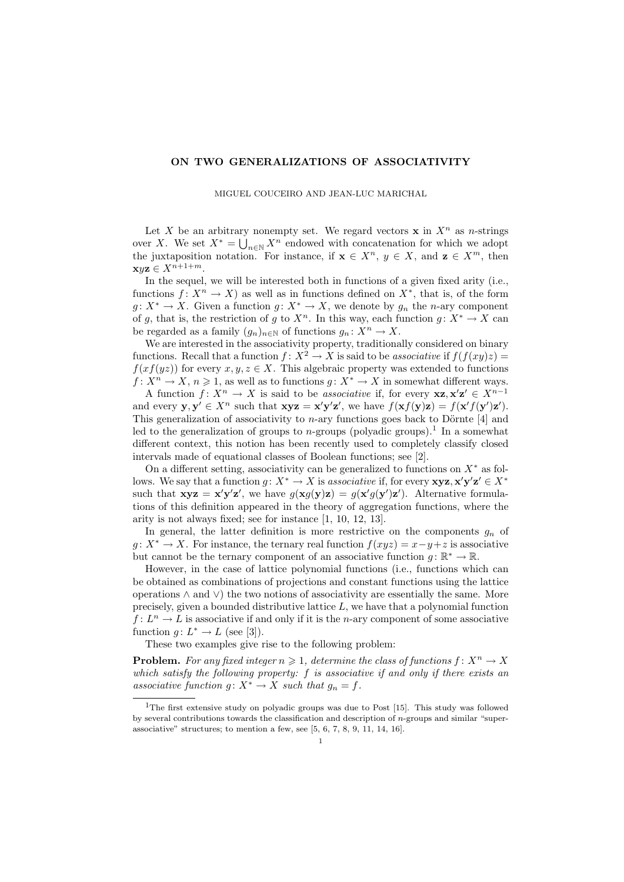## ON TWO GENERALIZATIONS OF ASSOCIATIVITY

MIGUEL COUCEIRO AND JEAN-LUC MARICHAL

Let X be an arbitrary nonempty set. We regard vectors  $x$  in  $X<sup>n</sup>$  as n-strings over X. We set  $X^* = \bigcup_{n \in \mathbb{N}} X^n$  endowed with concatenation for which we adopt the juxtaposition notation. For instance, if  $\mathbf{x} \in X^n$ ,  $y \in X$ , and  $\mathbf{z} \in X^m$ , then  ${\bf x}$ uz  $\in X^{n+1+m}$ .

In the sequel, we will be interested both in functions of a given fixed arity (i.e., functions  $f: X^n \to X$  as well as in functions defined on  $X^*$ , that is, of the form  $g: X^* \to X$ . Given a function  $g: X^* \to X$ , we denote by  $g_n$  the *n*-ary component of g, that is, the restriction of g to  $X^n$ . In this way, each function  $g: X^* \to X$  can be regarded as a family  $(g_n)_{n\in\mathbb{N}}$  of functions  $g_n: X^n \to X$ .

We are interested in the associativity property, traditionally considered on binary functions. Recall that a function  $f: X^2 \to X$  is said to be associative if  $f(f(xy)z) =$  $f(x f(yz))$  for every  $x, y, z \in X$ . This algebraic property was extended to functions  $f: X^n \to X, n \geq 1$ , as well as to functions  $g: X^* \to X$  in somewhat different ways.

A function  $f: X^n \to X$  is said to be associative if, for every  $xz, x'z' \in X^{n-1}$ and every  $y, y' \in X^n$  such that  $xyz = x'y'z'$ , we have  $f(xf(y)z) = f(x'f(y')z')$ . This generalization of associativity to  $n$ -ary functions goes back to Dörnte [4] and led to the generalization of groups to *n*-groups (polyadic groups).<sup>1</sup> In a somewhat different context, this notion has been recently used to completely classify closed intervals made of equational classes of Boolean functions; see [2].

On a different setting, associativity can be generalized to functions on  $X^*$  as follows. We say that a function  $g: X^* \to X$  is associative if, for every  $\mathbf{xyz}, \mathbf{x'y'z'} \in X^*$ such that  $xyz = x'y'z'$ , we have  $g(xg(y)z) = g(x'g(y')z')$ . Alternative formulations of this definition appeared in the theory of aggregation functions, where the arity is not always fixed; see for instance [1, 10, 12, 13].

In general, the latter definition is more restrictive on the components  $g_n$  of  $g: X^* \to X$ . For instance, the ternary real function  $f(xyz) = x - y + z$  is associative but cannot be the ternary component of an associative function  $g: \mathbb{R}^* \to \mathbb{R}$ .

However, in the case of lattice polynomial functions (i.e., functions which can be obtained as combinations of projections and constant functions using the lattice operations ∧ and ∨) the two notions of associativity are essentially the same. More precisely, given a bounded distributive lattice  $L$ , we have that a polynomial function  $f: L^n \to L$  is associative if and only if it is the *n*-ary component of some associative function  $g: L^* \to L$  (see [3]).

These two examples give rise to the following problem:

**Problem.** For any fixed integer  $n \geq 1$ , determine the class of functions  $f: X^n \to X$ which satisfy the following property:  $f$  is associative if and only if there exists an associative function  $q: X^* \to X$  such that  $q_n = f$ .

<sup>&</sup>lt;sup>1</sup>The first extensive study on polyadic groups was due to Post [15]. This study was followed by several contributions towards the classification and description of n-groups and similar "superassociative" structures; to mention a few, see [5, 6, 7, 8, 9, 11, 14, 16].